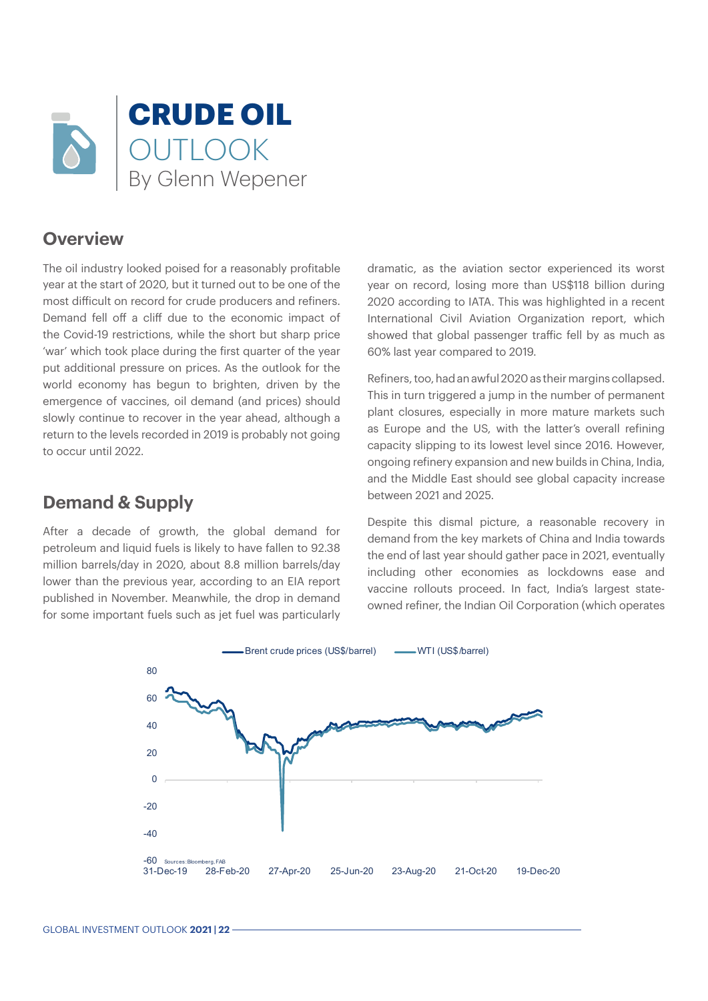

#### **Overview**

The oil industry looked poised for a reasonably profitable year at the start of 2020, but it turned out to be one of the most difficult on record for crude producers and refiners. Demand fell off a cliff due to the economic impact of the Covid-19 restrictions, while the short but sharp price 'war' which took place during the first quarter of the year put additional pressure on prices. As the outlook for the world economy has begun to brighten, driven by the emergence of vaccines, oil demand (and prices) should slowly continue to recover in the year ahead, although a return to the levels recorded in 2019 is probably not going to occur until 2022.

## **Demand & Supply**

After a decade of growth, the global demand for petroleum and liquid fuels is likely to have fallen to 92.38 million barrels/day in 2020, about 8.8 million barrels/day lower than the previous year, according to an EIA report published in November. Meanwhile, the drop in demand for some important fuels such as jet fuel was particularly

dramatic, as the aviation sector experienced its worst year on record, losing more than US\$118 billion during 2020 according to IATA. This was highlighted in a recent International Civil Aviation Organization report, which showed that global passenger traffic fell by as much as 60% last year compared to 2019.

Refiners, too, had an awful 2020 as their margins collapsed. This in turn triggered a jump in the number of permanent plant closures, especially in more mature markets such as Europe and the US, with the latter's overall refining capacity slipping to its lowest level since 2016. However, ongoing refinery expansion and new builds in China, India, and the Middle East should see global capacity increase between 2021 and 2025.

Despite this dismal picture, a reasonable recovery in demand from the key markets of China and India towards the end of last year should gather pace in 2021, eventually including other economies as lockdowns ease and vaccine rollouts proceed. In fact, India's largest stateowned refiner, the Indian Oil Corporation (which operates

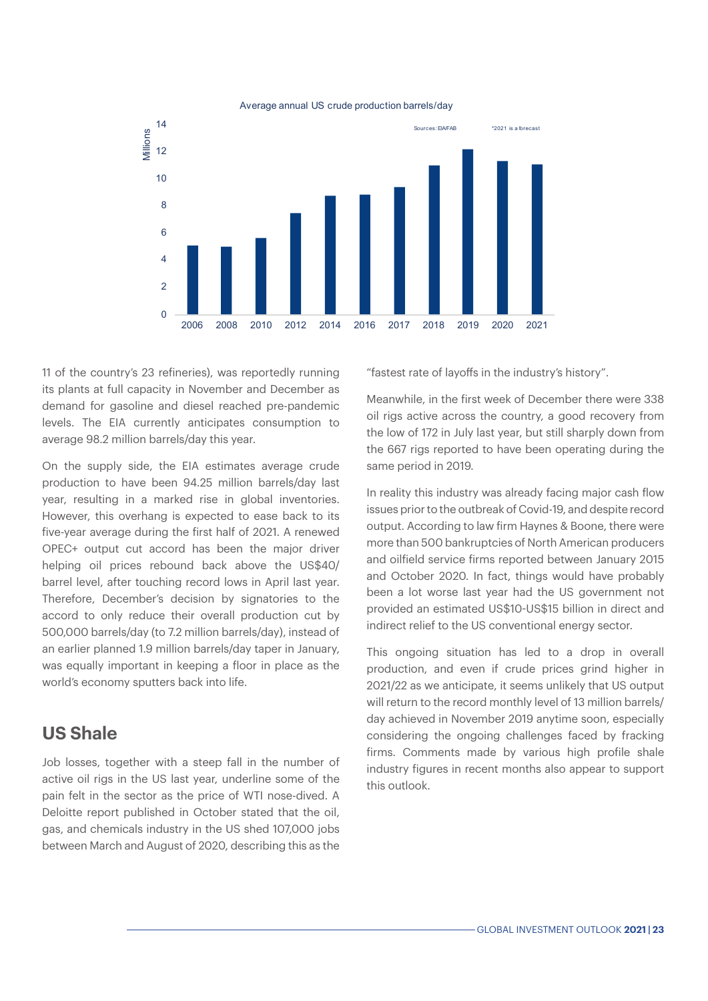

#### Average annual US crude production barrels/day

11 of the country's 23 refineries), was reportedly running its plants at full capacity in November and December as demand for gasoline and diesel reached pre-pandemic levels. The EIA currently anticipates consumption to average 98.2 million barrels/day this year.

On the supply side, the EIA estimates average crude production to have been 94.25 million barrels/day last year, resulting in a marked rise in global inventories. However, this overhang is expected to ease back to its five-year average during the first half of 2021. A renewed OPEC+ output cut accord has been the major driver helping oil prices rebound back above the US\$40/ barrel level, after touching record lows in April last year. Therefore, December's decision by signatories to the accord to only reduce their overall production cut by 500,000 barrels/day (to 7.2 million barrels/day), instead of an earlier planned 1.9 million barrels/day taper in January, was equally important in keeping a floor in place as the world's economy sputters back into life.

#### **US Shale**

Job losses, together with a steep fall in the number of active oil rigs in the US last year, underline some of the pain felt in the sector as the price of WTI nose-dived. A Deloitte report published in October stated that the oil, gas, and chemicals industry in the US shed 107,000 jobs between March and August of 2020, describing this as the

"fastest rate of layoffs in the industry's history".

Meanwhile, in the first week of December there were 338 oil rigs active across the country, a good recovery from the low of 172 in July last year, but still sharply down from the 667 rigs reported to have been operating during the same period in 2019.

In reality this industry was already facing major cash flow issues prior to the outbreak of Covid-19, and despite record output. According to law firm Haynes & Boone, there were more than 500 bankruptcies of North American producers and oilfield service firms reported between January 2015 and October 2020. In fact, things would have probably been a lot worse last year had the US government not provided an estimated US\$10-US\$15 billion in direct and indirect relief to the US conventional energy sector.

This ongoing situation has led to a drop in overall production, and even if crude prices grind higher in 2021/22 as we anticipate, it seems unlikely that US output will return to the record monthly level of 13 million barrels/ day achieved in November 2019 anytime soon, especially considering the ongoing challenges faced by fracking firms. Comments made by various high profile shale industry figures in recent months also appear to support this outlook.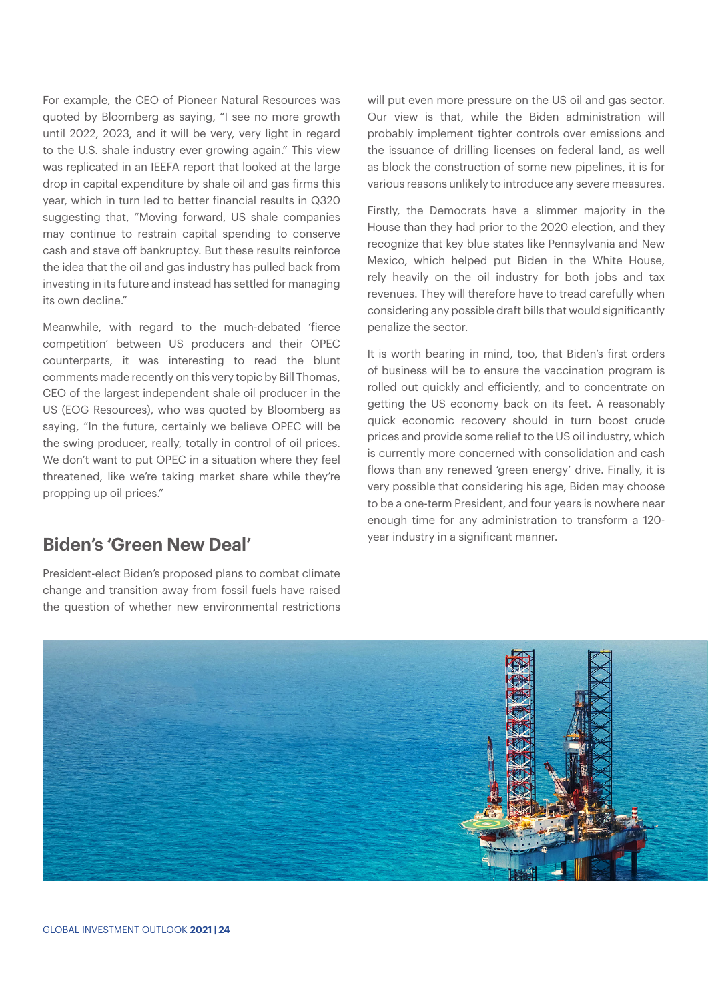For example, the CEO of Pioneer Natural Resources was quoted by Bloomberg as saying, "I see no more growth until 2022, 2023, and it will be very, very light in regard to the U.S. shale industry ever growing again." This view was replicated in an IEEFA report that looked at the large drop in capital expenditure by shale oil and gas firms this year, which in turn led to better financial results in Q320 suggesting that, "Moving forward, US shale companies may continue to restrain capital spending to conserve cash and stave off bankruptcy. But these results reinforce the idea that the oil and gas industry has pulled back from investing in its future and instead has settled for managing its own decline."

Meanwhile, with regard to the much-debated 'fierce competition' between US producers and their OPEC counterparts, it was interesting to read the blunt comments made recently on this very topic by Bill Thomas, CEO of the largest independent shale oil producer in the US (EOG Resources), who was quoted by Bloomberg as saying, "In the future, certainly we believe OPEC will be the swing producer, really, totally in control of oil prices. We don't want to put OPEC in a situation where they feel threatened, like we're taking market share while they're propping up oil prices."

## **Biden's 'Green New Deal'**

President-elect Biden's proposed plans to combat climate change and transition away from fossil fuels have raised the question of whether new environmental restrictions will put even more pressure on the US oil and gas sector. Our view is that, while the Biden administration will probably implement tighter controls over emissions and the issuance of drilling licenses on federal land, as well as block the construction of some new pipelines, it is for various reasons unlikely to introduce any severe measures.

Firstly, the Democrats have a slimmer majority in the House than they had prior to the 2020 election, and they recognize that key blue states like Pennsylvania and New Mexico, which helped put Biden in the White House, rely heavily on the oil industry for both jobs and tax revenues. They will therefore have to tread carefully when considering any possible draft bills that would significantly penalize the sector.

It is worth bearing in mind, too, that Biden's first orders of business will be to ensure the vaccination program is rolled out quickly and efficiently, and to concentrate on getting the US economy back on its feet. A reasonably quick economic recovery should in turn boost crude prices and provide some relief to the US oil industry, which is currently more concerned with consolidation and cash flows than any renewed 'green energy' drive. Finally, it is very possible that considering his age, Biden may choose to be a one-term President, and four years is nowhere near enough time for any administration to transform a 120 year industry in a significant manner.